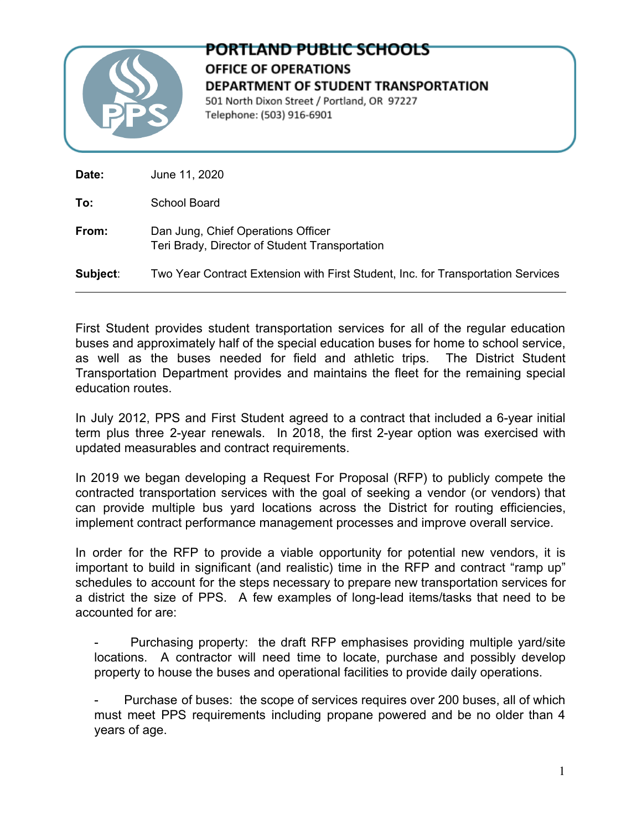

## PORTLAND PUBLIC SCHOOLS **OFFICE OF OPERATIONS** DEPARTMENT OF STUDENT TRANSPORTATION 501 North Dixon Street / Portland, OR 97227 Telephone: (503) 916-6901

| Date:    | June 11, 2020                                                                        |
|----------|--------------------------------------------------------------------------------------|
| To:      | School Board                                                                         |
| From:    | Dan Jung, Chief Operations Officer<br>Teri Brady, Director of Student Transportation |
| Subject: | Two Year Contract Extension with First Student, Inc. for Transportation Services     |

First Student provides student transportation services for all of the regular education buses and approximately half of the special education buses for home to school service, as well as the buses needed for field and athletic trips. The District Student Transportation Department provides and maintains the fleet for the remaining special education routes.

In July 2012, PPS and First Student agreed to a contract that included a 6-year initial term plus three 2-year renewals. In 2018, the first 2-year option was exercised with updated measurables and contract requirements.

In 2019 we began developing a Request For Proposal (RFP) to publicly compete the contracted transportation services with the goal of seeking a vendor (or vendors) that can provide multiple bus yard locations across the District for routing efficiencies, implement contract performance management processes and improve overall service.

In order for the RFP to provide a viable opportunity for potential new vendors, it is important to build in significant (and realistic) time in the RFP and contract "ramp up" schedules to account for the steps necessary to prepare new transportation services for a district the size of PPS. A few examples of long-lead items/tasks that need to be accounted for are:

Purchasing property: the draft RFP emphasises providing multiple yard/site locations. A contractor will need time to locate, purchase and possibly develop property to house the buses and operational facilities to provide daily operations.

Purchase of buses: the scope of services requires over 200 buses, all of which must meet PPS requirements including propane powered and be no older than 4 years of age.